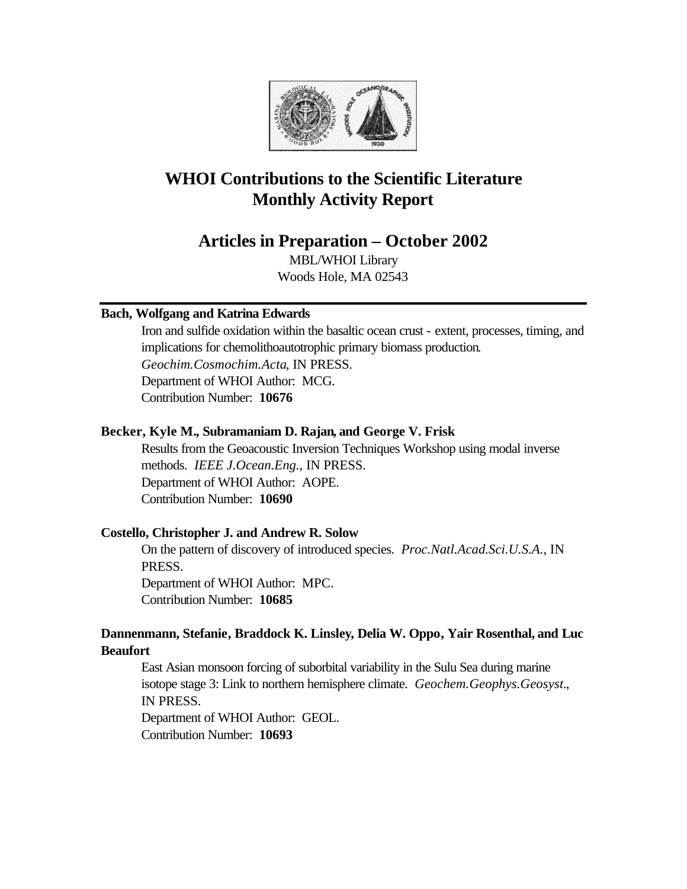

# **WHOI Contributions to the Scientific Literature Monthly Activity Report**

# **Articles in Preparation – October 2002**

MBL/WHOI Library Woods Hole, MA 02543

# **Bach, Wolfgang and Katrina Edwards**

Iron and sulfide oxidation within the basaltic ocean crust - extent, processes, timing, and implications for chemolithoautotrophic primary biomass production. *Geochim.Cosmochim.Acta*, IN PRESS. Department of WHOI Author: MCG. Contribution Number: **10676**

# **Becker, Kyle M., Subramaniam D. Rajan, and George V. Frisk**

Results from the Geoacoustic Inversion Techniques Workshop using modal inverse methods. *IEEE J.Ocean.Eng.*, IN PRESS. Department of WHOI Author: AOPE. Contribution Number: **10690**

# **Costello, Christopher J. and Andrew R. Solow**

On the pattern of discovery of introduced species. *Proc.Natl.Acad.Sci.U.S.A.*, IN PRESS. Department of WHOI Author: MPC.

Contribution Number: **10685**

# **Dannenmann, Stefanie, Braddock K. Linsley, Delia W. Oppo, Yair Rosenthal, and Luc Beaufort**

East Asian monsoon forcing of suborbital variability in the Sulu Sea during marine isotope stage 3: Link to northern hemisphere climate. *Geochem.Geophys.Geosyst.*, IN PRESS. Department of WHOI Author: GEOL.

Contribution Number: **10693**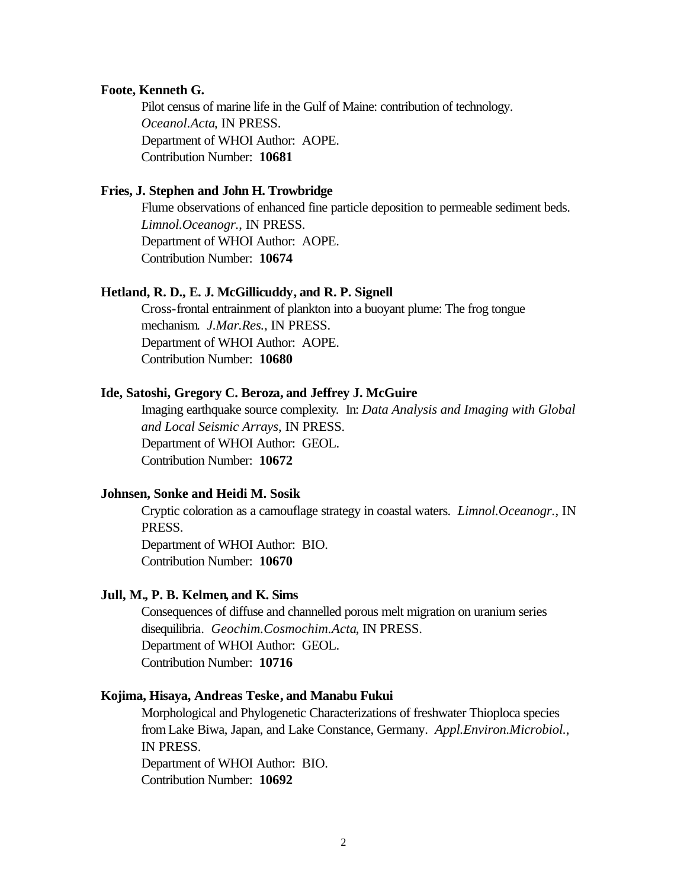#### **Foote, Kenneth G.**

Pilot census of marine life in the Gulf of Maine: contribution of technology. *Oceanol.Acta*, IN PRESS. Department of WHOI Author: AOPE. Contribution Number: **10681**

### **Fries, J. Stephen and John H. Trowbridge**

Flume observations of enhanced fine particle deposition to permeable sediment beds. *Limnol.Oceanogr.*, IN PRESS. Department of WHOI Author: AOPE. Contribution Number: **10674**

### **Hetland, R. D., E. J. McGillicuddy, and R. P. Signell**

Cross-frontal entrainment of plankton into a buoyant plume: The frog tongue mechanism. *J.Mar.Res.*, IN PRESS. Department of WHOI Author: AOPE. Contribution Number: **10680**

#### **Ide, Satoshi, Gregory C. Beroza, and Jeffrey J. McGuire**

Imaging earthquake source complexity. In: *Data Analysis and Imaging with Global and Local Seismic Arrays*, IN PRESS. Department of WHOI Author: GEOL. Contribution Number: **10672**

### **Johnsen, Sonke and Heidi M. Sosik**

Cryptic coloration as a camouflage strategy in coastal waters. *Limnol.Oceanogr.*, IN PRESS.

Department of WHOI Author: BIO. Contribution Number: **10670**

#### **Jull, M., P. B. Kelmen, and K. Sims**

Consequences of diffuse and channelled porous melt migration on uranium series disequilibria. *Geochim.Cosmochim.Acta*, IN PRESS. Department of WHOI Author: GEOL. Contribution Number: **10716**

#### **Kojima, Hisaya, Andreas Teske, and Manabu Fukui**

Morphological and Phylogenetic Characterizations of freshwater Thioploca species from Lake Biwa, Japan, and Lake Constance, Germany. *Appl.Environ.Microbiol.*, IN PRESS. Department of WHOI Author: BIO.

Contribution Number: **10692**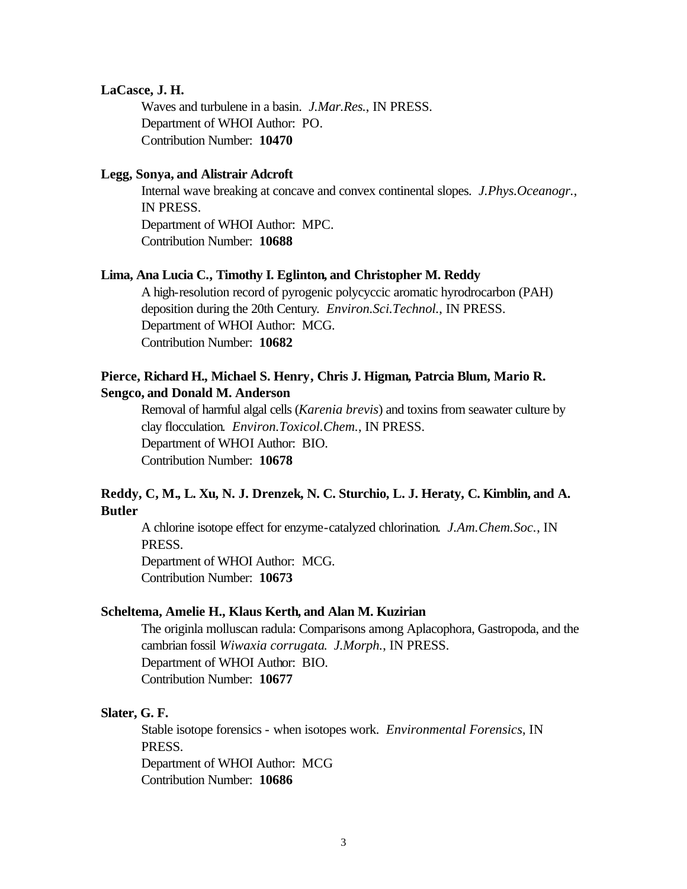### **LaCasce, J. H.**

Waves and turbulene in a basin. *J.Mar.Res.*, IN PRESS. Department of WHOI Author: PO. Contribution Number: **10470**

#### **Legg, Sonya, and Alistrair Adcroft**

Internal wave breaking at concave and convex continental slopes. *J.Phys.Oceanogr.*, IN PRESS. Department of WHOI Author: MPC. Contribution Number: **10688**

#### **Lima, Ana Lucia C., Timothy I. Eglinton, and Christopher M. Reddy**

A high-resolution record of pyrogenic polycyccic aromatic hyrodrocarbon (PAH) deposition during the 20th Century. *Environ.Sci.Technol.*, IN PRESS. Department of WHOI Author: MCG. Contribution Number: **10682**

# **Pierce, Richard H., Michael S. Henry, Chris J. Higman, Patrcia Blum, Mario R. Sengco, and Donald M. Anderson**

Removal of harmful algal cells (*Karenia brevis*) and toxins from seawater culture by clay flocculation. *Environ.Toxicol.Chem.*, IN PRESS. Department of WHOI Author: BIO. Contribution Number: **10678**

# **Reddy, C, M., L. Xu, N. J. Drenzek, N. C. Sturchio, L. J. Heraty, C. Kimblin, and A. Butler**

A chlorine isotope effect for enzyme-catalyzed chlorination. *J.Am.Chem.Soc.*, IN PRESS.

Department of WHOI Author: MCG. Contribution Number: **10673**

### **Scheltema, Amelie H., Klaus Kerth, and Alan M. Kuzirian**

The originla molluscan radula: Comparisons among Aplacophora, Gastropoda, and the cambrian fossil *Wiwaxia corrugata*. *J.Morph.*, IN PRESS. Department of WHOI Author: BIO. Contribution Number: **10677**

#### **Slater, G. F.**

Stable isotope forensics - when isotopes work. *Environmental Forensics*, IN PRESS. Department of WHOI Author: MCG Contribution Number: **10686**